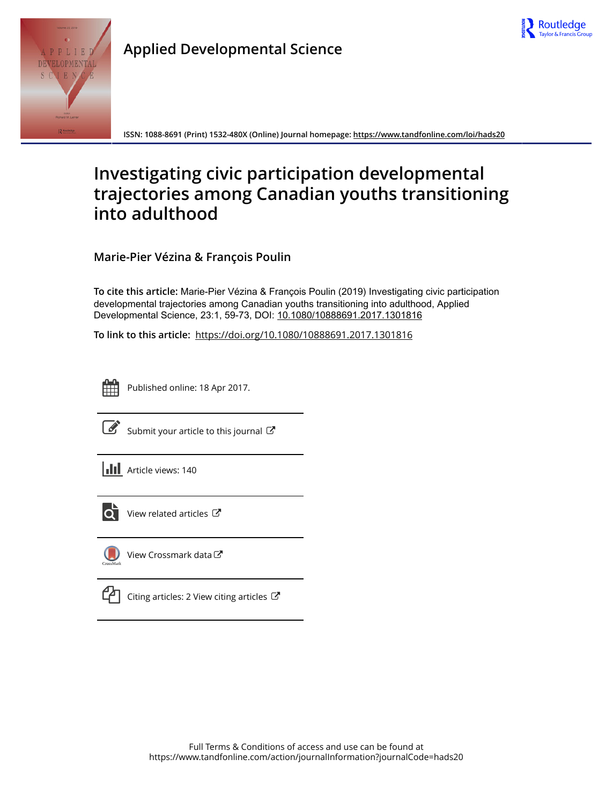



**Applied Developmental Science**

**ISSN: 1088-8691 (Print) 1532-480X (Online) Journal homepage: <https://www.tandfonline.com/loi/hads20>**

# **Investigating civic participation developmental trajectories among Canadian youths transitioning into adulthood**

**Marie-Pier Vézina & François Poulin**

**To cite this article:** Marie-Pier Vézina & François Poulin (2019) Investigating civic participation developmental trajectories among Canadian youths transitioning into adulthood, Applied Developmental Science, 23:1, 59-73, DOI: [10.1080/10888691.2017.1301816](https://www.tandfonline.com/action/showCitFormats?doi=10.1080/10888691.2017.1301816)

**To link to this article:** <https://doi.org/10.1080/10888691.2017.1301816>

Published online: 18 Apr 2017.



 $\overrightarrow{S}$  [Submit your article to this journal](https://www.tandfonline.com/action/authorSubmission?journalCode=hads20&show=instructions)  $\overrightarrow{S}$ 





 $\overline{\mathbf{C}}$  [View related articles](https://www.tandfonline.com/doi/mlt/10.1080/10888691.2017.1301816)  $\mathbf{C}$ 



[View Crossmark data](http://crossmark.crossref.org/dialog/?doi=10.1080/10888691.2017.1301816&domain=pdf&date_stamp=2017-04-18)

|  | Conting articles: 2 View citing articles C |  |
|--|--------------------------------------------|--|
|--|--------------------------------------------|--|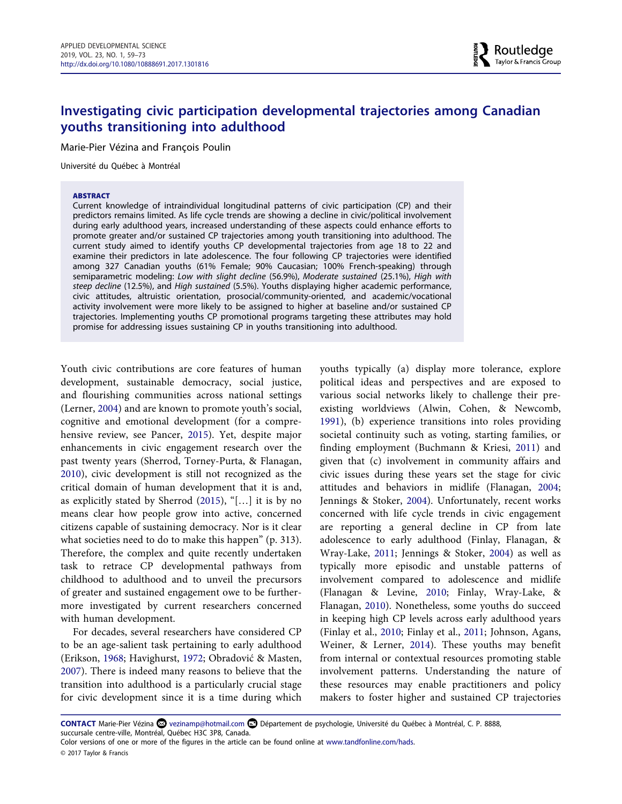# **Investigating civic participation developmental trajectories among Canadian youths transitioning into adulthood**

Marie-Pier Vézina and François Poulin

Université du Québec à Montréal

#### **ABSTRACT**

Current knowledge of intraindividual longitudinal patterns of civic participation (CP) and their predictors remains limited. As life cycle trends are showing a decline in civic/political involvement during early adulthood years, increased understanding of these aspects could enhance efforts to promote greater and/or sustained CP trajectories among youth transitioning into adulthood. The current study aimed to identify youths CP developmental trajectories from age 18 to 22 and examine their predictors in late adolescence. The four following CP trajectories were identified among 327 Canadian youths (61% Female; 90% Caucasian; 100% French-speaking) through semiparametric modeling: *Low with slight decline* (56.9%), *Moderate sustained* (25.1%), *High with steep decline* (12.5%), and *High sustained* (5.5%). Youths displaying higher academic performance, civic attitudes, altruistic orientation, prosocial/community-oriented, and academic/vocational activity involvement were more likely to be assigned to higher at baseline and/or sustained CP trajectories. Implementing youths CP promotional programs targeting these attributes may hold promise for addressing issues sustaining CP in youths transitioning into adulthood.

Youth civic contributions are core features of human development, sustainable democracy, social justice, and flourishing communities across national settings (Lerner, [2004](#page-14-0)) and are known to promote youth's social, cognitive and emotional development (for a comprehensive review, see Pancer, [2015](#page-14-0)). Yet, despite major enhancements in civic engagement research over the past twenty years (Sherrod, Torney-Purta, & Flanagan, [2010\)](#page-14-0), civic development is still not recognized as the critical domain of human development that it is and, as explicitly stated by Sherrod [\(2015](#page-14-0)), "[…] it is by no means clear how people grow into active, concerned citizens capable of sustaining democracy. Nor is it clear what societies need to do to make this happen" (p. 313). Therefore, the complex and quite recently undertaken task to retrace CP developmental pathways from childhood to adulthood and to unveil the precursors of greater and sustained engagement owe to be furthermore investigated by current researchers concerned with human development.

For decades, several researchers have considered CP to be an age-salient task pertaining to early adulthood (Erikson, [1968;](#page-13-0) Havighurst, [1972;](#page-13-0) Obradović & Masten, [2007\)](#page-14-0). There is indeed many reasons to believe that the transition into adulthood is a particularly crucial stage for civic development since it is a time during which

youths typically (a) display more tolerance, explore political ideas and perspectives and are exposed to various social networks likely to challenge their preexisting worldviews (Alwin, Cohen, & Newcomb, [1991](#page-12-0)), (b) experience transitions into roles providing societal continuity such as voting, starting families, or finding employment (Buchmann & Kriesi, [2011\)](#page-12-0) and given that (c) involvement in community affairs and civic issues during these years set the stage for civic attitudes and behaviors in midlife (Flanagan, [2004;](#page-13-0) Jennings & Stoker, [2004](#page-13-0)). Unfortunately, recent works concerned with life cycle trends in civic engagement are reporting a general decline in CP from late adolescence to early adulthood (Finlay, Flanagan, & Wray-Lake, [2011;](#page-13-0) Jennings & Stoker, [2004\)](#page-13-0) as well as typically more episodic and unstable patterns of involvement compared to adolescence and midlife (Flanagan & Levine, [2010;](#page-13-0) Finlay, Wray-Lake, & Flanagan, [2010\)](#page-13-0). Nonetheless, some youths do succeed in keeping high CP levels across early adulthood years (Finlay et al., [2010;](#page-13-0) Finlay et al., [2011;](#page-13-0) Johnson, Agans, Weiner, & Lerner, [2014\)](#page-13-0). These youths may benefit from internal or contextual resources promoting stable involvement patterns. Understanding the nature of these resources may enable practitioners and policy makers to foster higher and sustained CP trajectories

CONTACT Marie-Pier Vézina & [vezinamp@hotmail.com](mailto:vezinamp@hotmail.com) Département de psychologie, Université du Québec à Montréal, C. P. 8888, succursale centre-ville, Montréal, Québec H3C 3P8, Canada.

Color versions of one or more of the figures in the article can be found online at [www.tandfonline.com/hads](http://www.tandfonline.com/hads).

© 2017 Taylor & Francis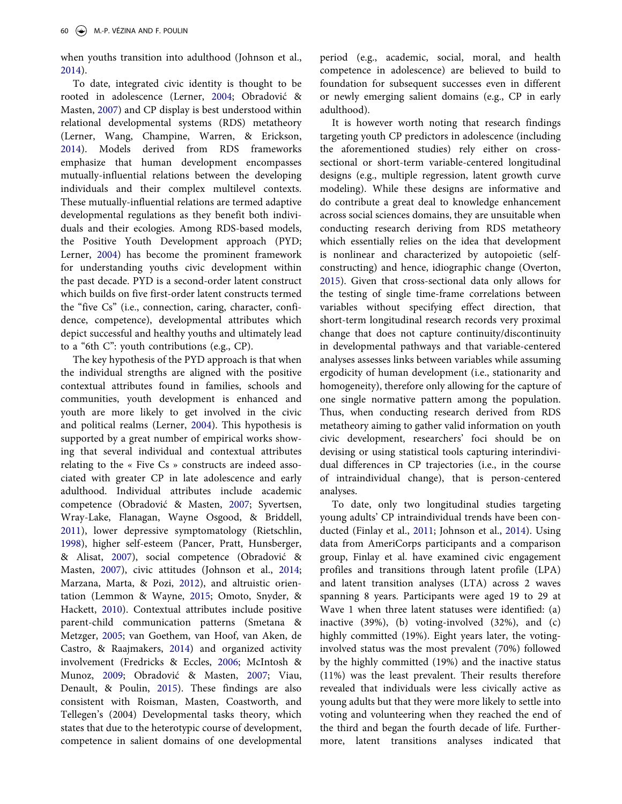when youths transition into adulthood (Johnson et al., [2014\)](#page-13-0).

To date, integrated civic identity is thought to be rooted in adolescence (Lerner, [2004](#page-14-0); Obradović & Masten, [2007](#page-14-0)) and CP display is best understood within relational developmental systems (RDS) metatheory (Lerner, Wang, Champine, Warren, & Erickson, [2014\)](#page-14-0). Models derived from RDS frameworks emphasize that human development encompasses mutually-influential relations between the developing individuals and their complex multilevel contexts. These mutually-influential relations are termed adaptive developmental regulations as they benefit both individuals and their ecologies. Among RDS-based models, the Positive Youth Development approach (PYD; Lerner, [2004\)](#page-14-0) has become the prominent framework for understanding youths civic development within the past decade. PYD is a second-order latent construct which builds on five first-order latent constructs termed the "five Cs" (i.e., connection, caring, character, confidence, competence), developmental attributes which depict successful and healthy youths and ultimately lead to a "6th C": youth contributions (e.g., CP).

The key hypothesis of the PYD approach is that when the individual strengths are aligned with the positive contextual attributes found in families, schools and communities, youth development is enhanced and youth are more likely to get involved in the civic and political realms (Lerner, [2004](#page-14-0)). This hypothesis is supported by a great number of empirical works showing that several individual and contextual attributes relating to the « Five Cs » constructs are indeed associated with greater CP in late adolescence and early adulthood. Individual attributes include academic competence (Obradović & Masten, [2007;](#page-14-0) Syvertsen, Wray‐Lake, Flanagan, Wayne Osgood, & Briddell, [2011\)](#page-14-0), lower depressive symptomatology (Rietschlin, [1998\)](#page-14-0), higher self-esteem (Pancer, Pratt, Hunsberger, & Alisat, [2007\)](#page-14-0), social competence (Obradović & Masten, [2007](#page-14-0)), civic attitudes (Johnson et al., [2014;](#page-13-0) Marzana, Marta, & Pozi, [2012\)](#page-14-0), and altruistic orientation (Lemmon & Wayne, [2015](#page-14-0); Omoto, Snyder, & Hackett, [2010](#page-14-0)). Contextual attributes include positive parent-child communication patterns (Smetana & Metzger, [2005;](#page-14-0) van Goethem, van Hoof, van Aken, de Castro, & Raajmakers, [2014](#page-14-0)) and organized activity involvement (Fredricks & Eccles, [2006;](#page-13-0) McIntosh & Munoz, [2009](#page-14-0); Obradović & Masten, [2007](#page-14-0); Viau, Denault, & Poulin, [2015\)](#page-15-0). These findings are also consistent with Roisman, Masten, Coastworth, and Tellegen's (2004) Developmental tasks theory, which states that due to the heterotypic course of development, competence in salient domains of one developmental

period (e.g., academic, social, moral, and health competence in adolescence) are believed to build to foundation for subsequent successes even in different or newly emerging salient domains (e.g., CP in early adulthood).

It is however worth noting that research findings targeting youth CP predictors in adolescence (including the aforementioned studies) rely either on crosssectional or short-term variable-centered longitudinal designs (e.g., multiple regression, latent growth curve modeling). While these designs are informative and do contribute a great deal to knowledge enhancement across social sciences domains, they are unsuitable when conducting research deriving from RDS metatheory which essentially relies on the idea that development is nonlinear and characterized by autopoietic (selfconstructing) and hence, idiographic change (Overton, [2015](#page-14-0)). Given that cross-sectional data only allows for the testing of single time-frame correlations between variables without specifying effect direction, that short-term longitudinal research records very proximal change that does not capture continuity/discontinuity in developmental pathways and that variable-centered analyses assesses links between variables while assuming ergodicity of human development (i.e., stationarity and homogeneity), therefore only allowing for the capture of one single normative pattern among the population. Thus, when conducting research derived from RDS metatheory aiming to gather valid information on youth civic development, researchers' foci should be on devising or using statistical tools capturing interindividual differences in CP trajectories (i.e., in the course of intraindividual change), that is person-centered analyses.

To date, only two longitudinal studies targeting young adults' CP intraindividual trends have been conducted (Finlay et al., [2011;](#page-13-0) Johnson et al., [2014\)](#page-13-0). Using data from AmeriCorps participants and a comparison group, Finlay et al. have examined civic engagement profiles and transitions through latent profile (LPA) and latent transition analyses (LTA) across 2 waves spanning 8 years. Participants were aged 19 to 29 at Wave 1 when three latent statuses were identified: (a) inactive (39%), (b) voting-involved (32%), and (c) highly committed (19%). Eight years later, the votinginvolved status was the most prevalent (70%) followed by the highly committed (19%) and the inactive status (11%) was the least prevalent. Their results therefore revealed that individuals were less civically active as young adults but that they were more likely to settle into voting and volunteering when they reached the end of the third and began the fourth decade of life. Furthermore, latent transitions analyses indicated that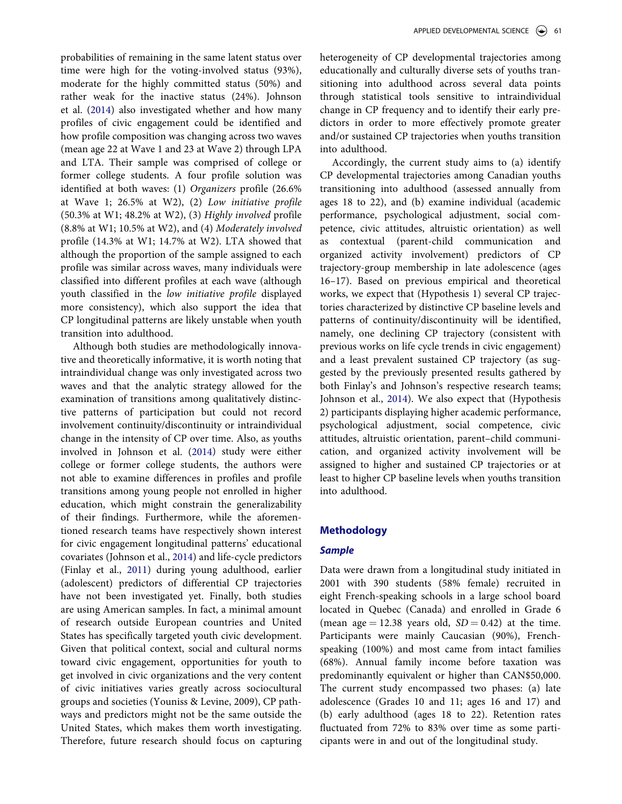probabilities of remaining in the same latent status over time were high for the voting-involved status (93%), moderate for the highly committed status (50%) and rather weak for the inactive status (24%). Johnson et al. [\(2014](#page-13-0)) also investigated whether and how many profiles of civic engagement could be identified and how profile composition was changing across two waves (mean age 22 at Wave 1 and 23 at Wave 2) through LPA and LTA. Their sample was comprised of college or former college students. A four profile solution was identified at both waves: (1) *Organizers* profile (26.6% at Wave 1; 26.5% at W2), (2) *Low initiative profile*  (50.3% at W1; 48.2% at W2), (3) *Highly involved* profile (8.8% at W1; 10.5% at W2), and (4) *Moderately involved*  profile (14.3% at W1; 14.7% at W2). LTA showed that although the proportion of the sample assigned to each profile was similar across waves, many individuals were classified into different profiles at each wave (although youth classified in the *low initiative profile* displayed more consistency), which also support the idea that CP longitudinal patterns are likely unstable when youth transition into adulthood.

Although both studies are methodologically innovative and theoretically informative, it is worth noting that intraindividual change was only investigated across two waves and that the analytic strategy allowed for the examination of transitions among qualitatively distinctive patterns of participation but could not record involvement continuity/discontinuity or intraindividual change in the intensity of CP over time. Also, as youths involved in Johnson et al. ([2014](#page-13-0)) study were either college or former college students, the authors were not able to examine differences in profiles and profile transitions among young people not enrolled in higher education, which might constrain the generalizability of their findings. Furthermore, while the aforementioned research teams have respectively shown interest for civic engagement longitudinal patterns' educational covariates (Johnson et al., [2014\)](#page-13-0) and life-cycle predictors (Finlay et al., [2011](#page-13-0)) during young adulthood, earlier (adolescent) predictors of differential CP trajectories have not been investigated yet. Finally, both studies are using American samples. In fact, a minimal amount of research outside European countries and United States has specifically targeted youth civic development. Given that political context, social and cultural norms toward civic engagement, opportunities for youth to get involved in civic organizations and the very content of civic initiatives varies greatly across sociocultural groups and societies (Youniss & Levine, 2009), CP pathways and predictors might not be the same outside the United States, which makes them worth investigating. Therefore, future research should focus on capturing

heterogeneity of CP developmental trajectories among educationally and culturally diverse sets of youths transitioning into adulthood across several data points through statistical tools sensitive to intraindividual change in CP frequency and to identify their early predictors in order to more effectively promote greater and/or sustained CP trajectories when youths transition into adulthood.

Accordingly, the current study aims to (a) identify CP developmental trajectories among Canadian youths transitioning into adulthood (assessed annually from ages 18 to 22), and (b) examine individual (academic performance, psychological adjustment, social competence, civic attitudes, altruistic orientation) as well as contextual (parent-child communication and organized activity involvement) predictors of CP trajectory-group membership in late adolescence (ages 16–17). Based on previous empirical and theoretical works, we expect that (Hypothesis 1) several CP trajectories characterized by distinctive CP baseline levels and patterns of continuity/discontinuity will be identified, namely, one declining CP trajectory (consistent with previous works on life cycle trends in civic engagement) and a least prevalent sustained CP trajectory (as suggested by the previously presented results gathered by both Finlay's and Johnson's respective research teams; Johnson et al., [2014](#page-13-0)). We also expect that (Hypothesis 2) participants displaying higher academic performance, psychological adjustment, social competence, civic attitudes, altruistic orientation, parent–child communication, and organized activity involvement will be assigned to higher and sustained CP trajectories or at least to higher CP baseline levels when youths transition into adulthood.

# **Methodology**

#### *Sample*

Data were drawn from a longitudinal study initiated in 2001 with 390 students (58% female) recruited in eight French-speaking schools in a large school board located in Quebec (Canada) and enrolled in Grade 6 (mean age  $= 12.38$  years old,  $SD = 0.42$ ) at the time. Participants were mainly Caucasian (90%), Frenchspeaking (100%) and most came from intact families (68%). Annual family income before taxation was predominantly equivalent or higher than CAN\$50,000. The current study encompassed two phases: (a) late adolescence (Grades 10 and 11; ages 16 and 17) and (b) early adulthood (ages 18 to 22). Retention rates fluctuated from 72% to 83% over time as some participants were in and out of the longitudinal study.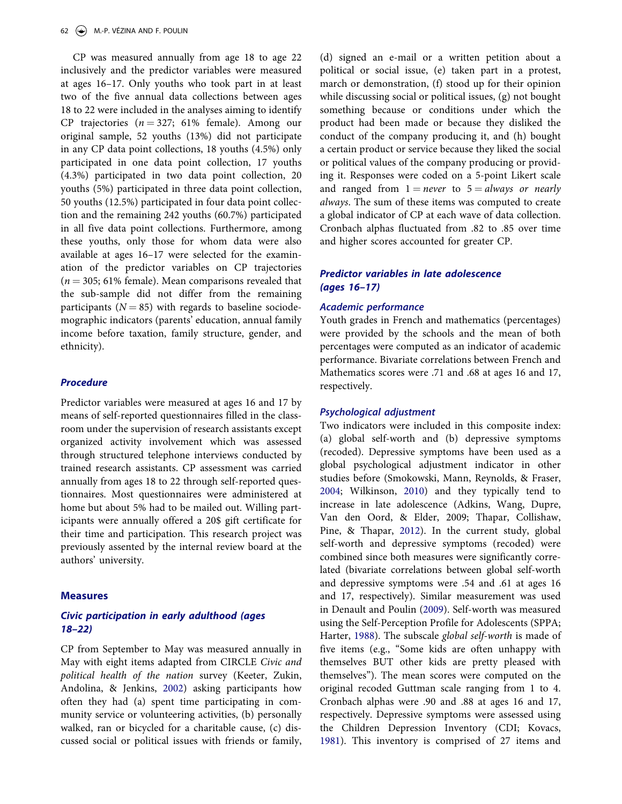CP was measured annually from age 18 to age 22 inclusively and the predictor variables were measured at ages 16–17. Only youths who took part in at least two of the five annual data collections between ages 18 to 22 were included in the analyses aiming to identify CP trajectories  $(n = 327; 61\%$  female). Among our original sample, 52 youths (13%) did not participate in any CP data point collections, 18 youths (4.5%) only participated in one data point collection, 17 youths (4.3%) participated in two data point collection, 20 youths (5%) participated in three data point collection, 50 youths (12.5%) participated in four data point collection and the remaining 242 youths (60.7%) participated in all five data point collections. Furthermore, among these youths, only those for whom data were also available at ages 16–17 were selected for the examination of the predictor variables on CP trajectories  $(n = 305; 61\%)$  female). Mean comparisons revealed that the sub-sample did not differ from the remaining participants ( $N = 85$ ) with regards to baseline sociodemographic indicators (parents' education, annual family income before taxation, family structure, gender, and ethnicity).

#### *Procedure*

Predictor variables were measured at ages 16 and 17 by means of self-reported questionnaires filled in the classroom under the supervision of research assistants except organized activity involvement which was assessed through structured telephone interviews conducted by trained research assistants. CP assessment was carried annually from ages 18 to 22 through self-reported questionnaires. Most questionnaires were administered at home but about 5% had to be mailed out. Willing participants were annually offered a 20\$ gift certificate for their time and participation. This research project was previously assented by the internal review board at the authors' university.

#### **Measures**

# *Civic participation in early adulthood (ages 18–22)*

CP from September to May was measured annually in May with eight items adapted from CIRCLE *Civic and political health of the nation* survey (Keeter, Zukin, Andolina, & Jenkins, [2002\)](#page-13-0) asking participants how often they had (a) spent time participating in community service or volunteering activities, (b) personally walked, ran or bicycled for a charitable cause, (c) discussed social or political issues with friends or family,

(d) signed an e-mail or a written petition about a political or social issue, (e) taken part in a protest, march or demonstration, (f) stood up for their opinion while discussing social or political issues, (g) not bought something because or conditions under which the product had been made or because they disliked the conduct of the company producing it, and (h) bought a certain product or service because they liked the social or political values of the company producing or providing it. Responses were coded on a 5-point Likert scale and ranged from  $1 = never$  to  $5 = always$  or nearly *always*. The sum of these items was computed to create a global indicator of CP at each wave of data collection. Cronbach alphas fluctuated from .82 to .85 over time and higher scores accounted for greater CP.

# *Predictor variables in late adolescence (ages 16–17)*

#### *Academic performance*

Youth grades in French and mathematics (percentages) were provided by the schools and the mean of both percentages were computed as an indicator of academic performance. Bivariate correlations between French and Mathematics scores were .71 and .68 at ages 16 and 17, respectively.

#### *Psychological adjustment*

Two indicators were included in this composite index: (a) global self-worth and (b) depressive symptoms (recoded). Depressive symptoms have been used as a global psychological adjustment indicator in other studies before (Smokowski, Mann, Reynolds, & Fraser, [2004](#page-14-0); Wilkinson, [2010\)](#page-15-0) and they typically tend to increase in late adolescence (Adkins, Wang, Dupre, Van den Oord, & Elder, 2009; Thapar, Collishaw, Pine, & Thapar, [2012\)](#page-15-0). In the current study, global self-worth and depressive symptoms (recoded) were combined since both measures were significantly correlated (bivariate correlations between global self-worth and depressive symptoms were .54 and .61 at ages 16 and 17, respectively). Similar measurement was used in Denault and Poulin ([2009\)](#page-13-0). Self-worth was measured using the Self-Perception Profile for Adolescents (SPPA; Harter, [1988\)](#page-13-0). The subscale *global self-worth* is made of five items (e.g., "Some kids are often unhappy with themselves BUT other kids are pretty pleased with themselves"). The mean scores were computed on the original recoded Guttman scale ranging from 1 to 4. Cronbach alphas were .90 and .88 at ages 16 and 17, respectively. Depressive symptoms were assessed using the Children Depression Inventory (CDI; Kovacs, [1981](#page-13-0)). This inventory is comprised of 27 items and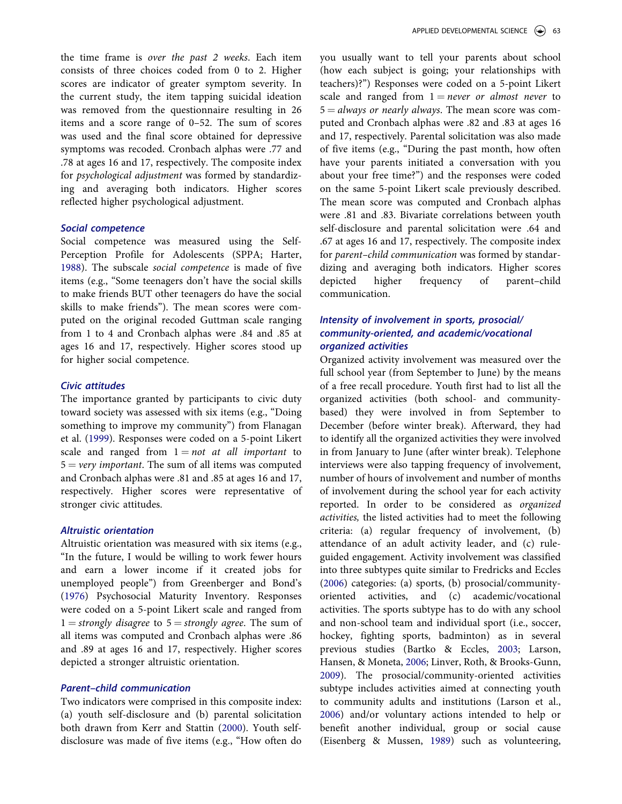the time frame is *over the past 2 weeks*. Each item consists of three choices coded from 0 to 2. Higher scores are indicator of greater symptom severity. In the current study, the item tapping suicidal ideation was removed from the questionnaire resulting in 26 items and a score range of 0–52. The sum of scores was used and the final score obtained for depressive symptoms was recoded. Cronbach alphas were .77 and .78 at ages 16 and 17, respectively. The composite index for *psychological adjustment* was formed by standardizing and averaging both indicators. Higher scores reflected higher psychological adjustment.

### *Social competence*

Social competence was measured using the Self-Perception Profile for Adolescents (SPPA; Harter, [1988\)](#page-13-0). The subscale *social competence* is made of five items (e.g., "Some teenagers don't have the social skills to make friends BUT other teenagers do have the social skills to make friends"). The mean scores were computed on the original recoded Guttman scale ranging from 1 to 4 and Cronbach alphas were .84 and .85 at ages 16 and 17, respectively. Higher scores stood up for higher social competence.

# *Civic attitudes*

The importance granted by participants to civic duty toward society was assessed with six items (e.g., "Doing something to improve my community") from Flanagan et al. [\(1999](#page-13-0)). Responses were coded on a 5-point Likert scale and ranged from  $1 = not$  *at all important* to  $5 = \text{very important}$ . The sum of all items was computed and Cronbach alphas were .81 and .85 at ages 16 and 17, respectively. Higher scores were representative of stronger civic attitudes.

# *Altruistic orientation*

Altruistic orientation was measured with six items (e.g., "In the future, I would be willing to work fewer hours and earn a lower income if it created jobs for unemployed people") from Greenberger and Bond's [\(1976](#page-13-0)) Psychosocial Maturity Inventory. Responses were coded on a 5-point Likert scale and ranged from  $1 =$ *strongly disagree* to  $5 =$ *strongly agree*. The sum of all items was computed and Cronbach alphas were .86 and .89 at ages 16 and 17, respectively. Higher scores depicted a stronger altruistic orientation.

# *Parent–child communication*

Two indicators were comprised in this composite index: (a) youth self-disclosure and (b) parental solicitation both drawn from Kerr and Stattin [\(2000\)](#page-13-0). Youth selfdisclosure was made of five items (e.g., "How often do

you usually want to tell your parents about school (how each subject is going; your relationships with teachers)?") Responses were coded on a 5-point Likert scale and ranged from  $1 = never$  or almost never to  $5 = always$  *or nearly always*. The mean score was computed and Cronbach alphas were .82 and .83 at ages 16 and 17, respectively. Parental solicitation was also made of five items (e.g., "During the past month, how often have your parents initiated a conversation with you about your free time?") and the responses were coded on the same 5-point Likert scale previously described. The mean score was computed and Cronbach alphas were .81 and .83. Bivariate correlations between youth self-disclosure and parental solicitation were .64 and .67 at ages 16 and 17, respectively. The composite index for *parent–child communication* was formed by standardizing and averaging both indicators. Higher scores depicted higher frequency of parent–child communication.

# *Intensity of involvement in sports, prosocial/ community-oriented, and academic/vocational organized activities*

Organized activity involvement was measured over the full school year (from September to June) by the means of a free recall procedure. Youth first had to list all the organized activities (both school- and communitybased) they were involved in from September to December (before winter break). Afterward, they had to identify all the organized activities they were involved in from January to June (after winter break). Telephone interviews were also tapping frequency of involvement, number of hours of involvement and number of months of involvement during the school year for each activity reported. In order to be considered as *organized activities,* the listed activities had to meet the following criteria: (a) regular frequency of involvement, (b) attendance of an adult activity leader, and (c) ruleguided engagement. Activity involvement was classified into three subtypes quite similar to Fredricks and Eccles ([2006\)](#page-13-0) categories: (a) sports, (b) prosocial/communityoriented activities, and (c) academic/vocational activities. The sports subtype has to do with any school and non-school team and individual sport (i.e., soccer, hockey, fighting sports, badminton) as in several previous studies (Bartko & Eccles, [2003](#page-12-0); Larson, Hansen, & Moneta, [2006;](#page-14-0) Linver, Roth, & Brooks-Gunn, [2009](#page-14-0)). The prosocial/community-oriented activities subtype includes activities aimed at connecting youth to community adults and institutions (Larson et al., [2006](#page-14-0)) and/or voluntary actions intended to help or benefit another individual, group or social cause (Eisenberg & Mussen, [1989\)](#page-13-0) such as volunteering,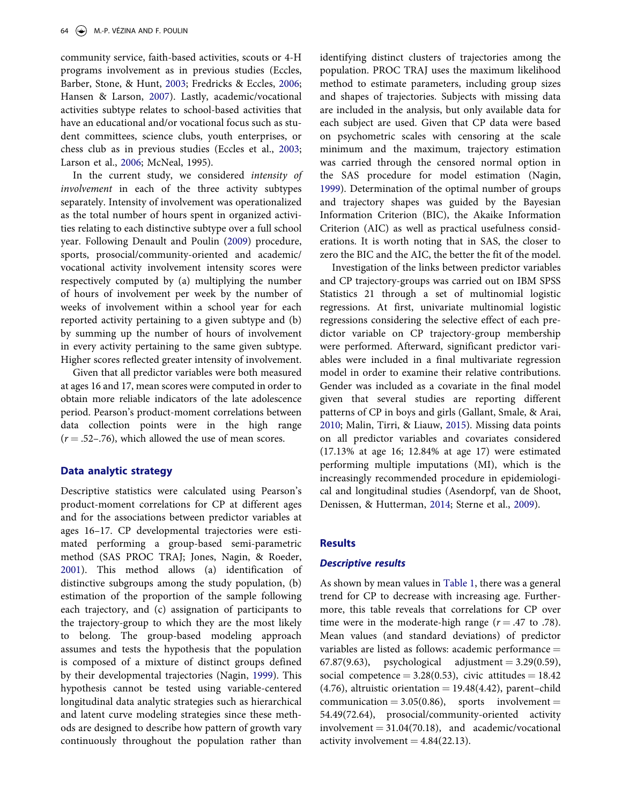community service, faith-based activities, scouts or 4-H programs involvement as in previous studies (Eccles, Barber, Stone, & Hunt, [2003;](#page-13-0) Fredricks & Eccles, [2006;](#page-13-0) Hansen & Larson, [2007\)](#page-13-0). Lastly, academic/vocational activities subtype relates to school-based activities that have an educational and/or vocational focus such as student committees, science clubs, youth enterprises, or chess club as in previous studies (Eccles et al., [2003;](#page-13-0) Larson et al., [2006;](#page-14-0) McNeal, 1995).

In the current study, we considered *intensity of involvement* in each of the three activity subtypes separately. Intensity of involvement was operationalized as the total number of hours spent in organized activities relating to each distinctive subtype over a full school year. Following Denault and Poulin ([2009\)](#page-13-0) procedure, sports, prosocial/community-oriented and academic/ vocational activity involvement intensity scores were respectively computed by (a) multiplying the number of hours of involvement per week by the number of weeks of involvement within a school year for each reported activity pertaining to a given subtype and (b) by summing up the number of hours of involvement in every activity pertaining to the same given subtype. Higher scores reflected greater intensity of involvement.

Given that all predictor variables were both measured at ages 16 and 17, mean scores were computed in order to obtain more reliable indicators of the late adolescence period. Pearson's product-moment correlations between data collection points were in the high range  $(r = .52-.76)$ , which allowed the use of mean scores.

# **Data analytic strategy**

Descriptive statistics were calculated using Pearson's product-moment correlations for CP at different ages and for the associations between predictor variables at ages 16–17. CP developmental trajectories were estimated performing a group-based semi-parametric method (SAS PROC TRAJ; Jones, Nagin, & Roeder, [2001\)](#page-13-0). This method allows (a) identification of distinctive subgroups among the study population, (b) estimation of the proportion of the sample following each trajectory, and (c) assignation of participants to the trajectory-group to which they are the most likely to belong. The group-based modeling approach assumes and tests the hypothesis that the population is composed of a mixture of distinct groups defined by their developmental trajectories (Nagin, [1999\)](#page-14-0). This hypothesis cannot be tested using variable-centered longitudinal data analytic strategies such as hierarchical and latent curve modeling strategies since these methods are designed to describe how pattern of growth vary continuously throughout the population rather than identifying distinct clusters of trajectories among the population. PROC TRAJ uses the maximum likelihood method to estimate parameters, including group sizes and shapes of trajectories. Subjects with missing data are included in the analysis, but only available data for each subject are used. Given that CP data were based on psychometric scales with censoring at the scale minimum and the maximum, trajectory estimation was carried through the censored normal option in the SAS procedure for model estimation (Nagin, [1999](#page-14-0)). Determination of the optimal number of groups and trajectory shapes was guided by the Bayesian Information Criterion (BIC), the Akaike Information Criterion (AIC) as well as practical usefulness considerations. It is worth noting that in SAS, the closer to zero the BIC and the AIC, the better the fit of the model.

Investigation of the links between predictor variables and CP trajectory-groups was carried out on IBM SPSS Statistics 21 through a set of multinomial logistic regressions. At first, univariate multinomial logistic regressions considering the selective effect of each predictor variable on CP trajectory-group membership were performed. Afterward, significant predictor variables were included in a final multivariate regression model in order to examine their relative contributions. Gender was included as a covariate in the final model given that several studies are reporting different patterns of CP in boys and girls (Gallant, Smale, & Arai, [2010](#page-13-0); Malin, Tirri, & Liauw, [2015\)](#page-14-0). Missing data points on all predictor variables and covariates considered (17.13% at age 16; 12.84% at age 17) were estimated performing multiple imputations (MI), which is the increasingly recommended procedure in epidemiological and longitudinal studies (Asendorpf, van de Shoot, Denissen, & Hutterman, [2014](#page-12-0); Sterne et al., [2009](#page-14-0)).

#### **Results**

#### *Descriptive results*

As shown by mean values in [Table 1](#page-7-0), there was a general trend for CP to decrease with increasing age. Furthermore, this table reveals that correlations for CP over time were in the moderate-high range  $(r = .47$  to .78). Mean values (and standard deviations) of predictor variables are listed as follows: academic performance  $=$ 67.87(9.63), psychological adjustment =  $3.29(0.59)$ , social competence =  $3.28(0.53)$ , civic attitudes =  $18.42$  $(4.76)$ , altruistic orientation = 19.48 $(4.42)$ , parent–child communication  $= 3.05(0.86)$ , sports involvement  $=$ 54.49(72.64), prosocial/community-oriented activity involvement  $= 31.04(70.18)$ , and academic/vocational activity involvement  $= 4.84(22.13)$ .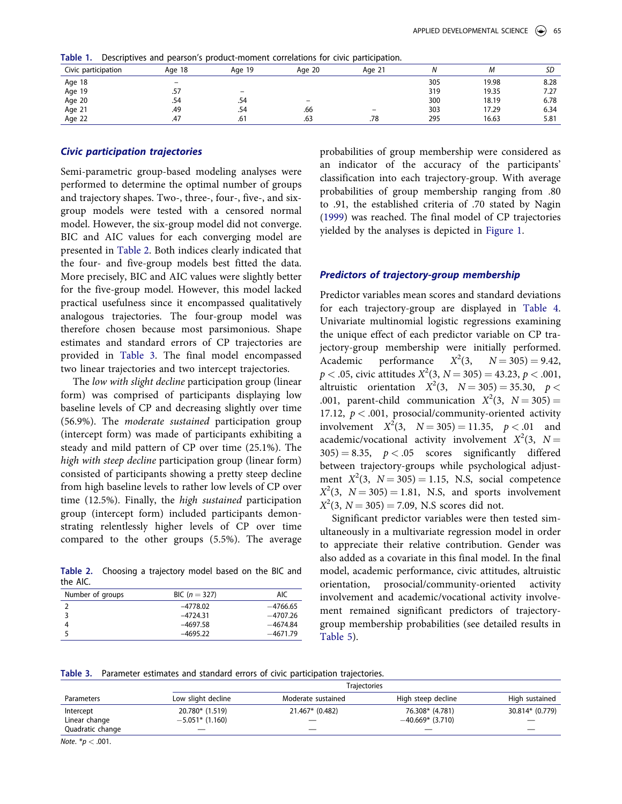|                     | pescriptives and pearson's product moment conclutions for civil participation. |                          |                          |        |     |       |      |  |
|---------------------|--------------------------------------------------------------------------------|--------------------------|--------------------------|--------|-----|-------|------|--|
| Civic participation | Age 18                                                                         | Age 19                   | Age 20                   | Age 21 |     |       | SD   |  |
| Age 18              | $\overline{\phantom{0}}$                                                       |                          |                          |        | 305 | 19.98 | 8.28 |  |
| Age 19              |                                                                                | $\overline{\phantom{m}}$ |                          |        | 319 | 19.35 | 7.27 |  |
| Age 20              | .54                                                                            | .54                      | $\overline{\phantom{0}}$ |        | 300 | 18.19 | 6.78 |  |
| Age 21              | .49                                                                            | .54                      | .66                      |        | 303 | 17.29 | 6.34 |  |
| Age 22              | .47                                                                            | .61                      | .63                      | .78    | 295 | 16.63 | 5.81 |  |

<span id="page-7-0"></span>**Table 1.** Descriptives and pearson's product-moment correlations for civic participation.

#### *Civic participation trajectories*

Semi-parametric group-based modeling analyses were performed to determine the optimal number of groups and trajectory shapes. Two-, three-, four-, five-, and sixgroup models were tested with a censored normal model. However, the six-group model did not converge. BIC and AIC values for each converging model are presented in Table 2. Both indices clearly indicated that the four- and five-group models best fitted the data. More precisely, BIC and AIC values were slightly better for the five-group model. However, this model lacked practical usefulness since it encompassed qualitatively analogous trajectories. The four-group model was therefore chosen because most parsimonious. Shape estimates and standard errors of CP trajectories are provided in Table 3. The final model encompassed two linear trajectories and two intercept trajectories.

The *low with slight decline* participation group (linear form) was comprised of participants displaying low baseline levels of CP and decreasing slightly over time (56.9%). The *moderate sustained* participation group (intercept form) was made of participants exhibiting a steady and mild pattern of CP over time (25.1%). The *high with steep decline* participation group (linear form) consisted of participants showing a pretty steep decline from high baseline levels to rather low levels of CP over time (12.5%). Finally, the *high sustained* participation group (intercept form) included participants demonstrating relentlessly higher levels of CP over time compared to the other groups (5.5%). The average

**Table 2.** Choosing a trajectory model based on the BIC and the AIC.

| Number of groups | BIC $(n = 327)$ | AIC        |
|------------------|-----------------|------------|
|                  | $-4778.02$      | $-4766.65$ |
|                  | $-4724.31$      | $-4707.26$ |
|                  | $-4697.58$      | $-4674.84$ |
|                  | $-4695.22$      | $-4671.79$ |

probabilities of group membership were considered as an indicator of the accuracy of the participants' classification into each trajectory-group. With average probabilities of group membership ranging from .80 to .91, the established criteria of .70 stated by Nagin ([1999\)](#page-14-0) was reached. The final model of CP trajectories yielded by the analyses is depicted in [Figure 1](#page-8-0).

# *Predictors of trajectory-group membership*

Predictor variables mean scores and standard deviations for each trajectory-group are displayed in [Table 4.](#page-8-0) Univariate multinomial logistic regressions examining the unique effect of each predictor variable on CP trajectory-group membership were initially performed. Academic performance  $X^2(3, 1)$  $(N = 305) = 9.42$  $p < .05$ , civic attitudes  $X^2(3, N = 305) = 43.23, p < .001$ , altruistic orientation  $X^2(3, N = 305) = 35.30, p <$ .001, parent-child communication  $X^2(3, N = 305)$  = 17.12, *p <* .001, prosocial/community-oriented activity involvement  $X^2(3, N = 305) = 11.35, p < .01$  and academic/vocational activity involvement  $X^2(3, N=$  $305$  = 8.35,  $p < .05$  scores significantly differed between trajectory-groups while psychological adjustment  $X^2(3, N = 305) = 1.15, N.S, social competence$  $X^2(3, N = 305) = 1.81$ , N.S, and sports involvement  $X^2(3, N = 305) = 7.09$ , N.S scores did not.

Significant predictor variables were then tested simultaneously in a multivariate regression model in order to appreciate their relative contribution. Gender was also added as a covariate in this final model. In the final model, academic performance, civic attitudes, altruistic orientation, prosocial/community-oriented activity involvement and academic/vocational activity involvement remained significant predictors of trajectorygroup membership probabilities (see detailed results in [Table 5\)](#page-8-0).

**Table 3.** Parameter estimates and standard errors of civic participation trajectories.

| Trajectories     |                    |                    |                    |                 |
|------------------|--------------------|--------------------|--------------------|-----------------|
| Parameters       | Low slight decline | Moderate sustained | High steep decline | High sustained  |
| Intercept        | 20.780* (1.519)    | 21.467* (0.482)    | 76.308* (4.781)    | 30.814* (0.779) |
| Linear change    | $-5.051*$ (1.160)  |                    | $-40.669*$ (3.710) |                 |
| Quadratic change |                    |                    |                    |                 |
|                  |                    |                    |                    |                 |

*Note*. \**p <* .001.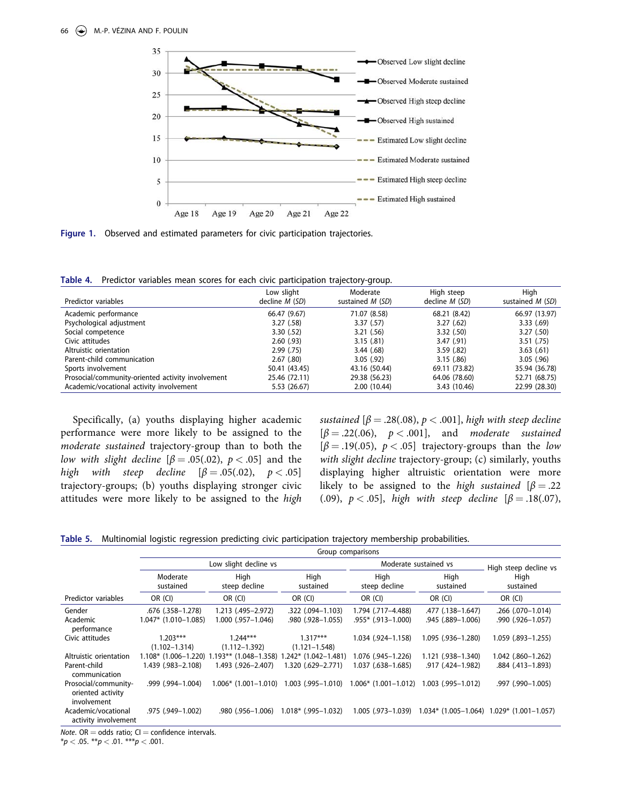<span id="page-8-0"></span>

**Figure 1.** Observed and estimated parameters for civic participation trajectories.

**Table 4.** Predictor variables mean scores for each civic participation trajectory-group.

| Predictor variables                               | Low slight<br>decline <i>M</i> (SD) | Moderate<br>sustained M (SD) | High steep<br>decline <i>M</i> (SD) | Hiah<br>sustained M (SD) |
|---------------------------------------------------|-------------------------------------|------------------------------|-------------------------------------|--------------------------|
| Academic performance                              | 66.47 (9.67)                        | 71.07 (8.58)                 | 68.21 (8.42)                        | 66.97 (13.97)            |
| Psychological adjustment                          | 3.27(0.58)                          | 3.37(.57)                    | 3.27(62)                            | 3.33(.69)                |
| Social competence                                 | 3.30(0.52)                          | 3.21(.56)                    | 3.32(.50)                           | 3.27(0.50)               |
| Civic attitudes                                   | 2.60(0.93)                          | 3.15(.81)                    | 3.47(91)                            | $3.51$ (.75)             |
| Altruistic orientation                            | 2.99(0.75)                          | 3.44(0.68)                   | 3.59(0.82)                          | 3.63(.61)                |
| Parent-child communication                        | 2.67(.80)                           | $3.05$ (.92)                 | 3.15(.86)                           | 3.05(0.96)               |
| Sports involvement                                | 50.41 (43.45)                       | 43.16 (50.44)                | 69.11 (73.82)                       | 35.94 (36.78)            |
| Prosocial/community-oriented activity involvement | 25.46 (72.11)                       | 29.38 (56.23)                | 64.06 (78.60)                       | 52.71 (68.75)            |
| Academic/vocational activity involvement          | 5.53 (26.67)                        | 2.00(10.44)                  | 3.43 (10.46)                        | 22.99 (28.30)            |

Specifically, (a) youths displaying higher academic performance were more likely to be assigned to the *moderate sustained* trajectory-group than to both the *low with slight decline*  $[\beta = .05(.02), p < .05]$  and the *high with steep decline*  $[\beta = .05(.02), p < .05]$ trajectory-groups; (b) youths displaying stronger civic attitudes were more likely to be assigned to the *high*  *sustained*  $[\beta = .28(.08), p < .001]$ , *high with steep decline*  $[\beta = .22(.06), \quad p < .001]$ , and *moderate sustained*  $[\beta = .19(.05), p < .05]$  trajectory-groups than the *low with slight decline* trajectory-group; (c) similarly, youths displaying higher altruistic orientation were more likely to be assigned to the *high sustained*  $[\beta = .22]$ (.09),  $p < .05$ ], *high with steep decline*  $\beta = .18(.07)$ ,

| Table 5. Multinomial logistic regression predicting civic participation trajectory membership probabilities. |  |
|--------------------------------------------------------------------------------------------------------------|--|
|--------------------------------------------------------------------------------------------------------------|--|

|                                                          | Group comparisons      |                                              |                       |                          |                          |                                             |
|----------------------------------------------------------|------------------------|----------------------------------------------|-----------------------|--------------------------|--------------------------|---------------------------------------------|
|                                                          | Low slight decline vs  |                                              |                       | Moderate sustained vs    |                          | High steep decline vs                       |
|                                                          | Moderate<br>sustained  | High<br>steep decline                        | High<br>sustained     | High<br>steep decline    | High<br>sustained        | High<br>sustained                           |
| Predictor variables                                      | OR (CI)                | OR (CI)                                      | OR (CI)               | OR (CI)                  | OR (CI)                  | OR (CI)                                     |
| Gender                                                   | .676 (.358-1.278)      | 1.213 (.495-2.972)                           | .322 (.094-1.103)     | 1.794 (.717-4.488)       | .477 (.138–1.647)        | .266 (.070-1.014)                           |
| Academic<br>performance                                  | $1.047*$ (1.010-1.085) | $1.000$ $(.957-1.046)$                       | .980 (.928-1.055)     | $.955*$ $(.913-1.000)$   | .945 (.889-1.006)        | .990 (.926-1.057)                           |
| Civic attitudes                                          | $1.203***$             | $1.244***$                                   | $1.317***$            | $1.034$ $(.924 - 1.158)$ | 1.095 (.936-1.280)       | $1.059$ $(.893-1.255)$                      |
|                                                          | $(1.102 - 1.314)$      | $(1.112 - 1.392)$                            | $(1.121 - 1.548)$     |                          |                          |                                             |
| Altruistic orientation                                   | $1.108*$ (1.006-1.220) | $1.193**$ (1.048–1.358) 1.242* (1.042–1.481) |                       | 1.076 (.945–1.226)       | $1.121$ $(.938-1.340)$   | $1.042$ $(.860-1.262)$                      |
| Parent-child<br>communication                            | 1.439 (.983-2.108)     | 1.493 (.926-2.407)                           | 1.320 (.629-2.771)    | $1.037$ $(.638-1.685)$   | .917 (.424–1.982)        | .884 (.413-1.893)                           |
| Prosocial/community-<br>oriented activity<br>involvement | .999 (.994-1.004)      | $1.006*$ (1.001-1.010) 1.003 (.995-1.010)    |                       | $1.006*$ (1.001-1.012)   | $1.003$ $(.995 - 1.012)$ | .997 (.990-1.005)                           |
| Academic/vocational<br>activity involvement              | .975 (.949-1.002)      | .980 (.956–1.006)                            | $1.018*$ (.995-1.032) | 1.005 (.973–1.039)       |                          | $1.034*$ (1.005-1.064) 1.029* (1.001-1.057) |

 $Note. OR = odds ratio; Cl = confidence intervals.$ 

 $* p < .05$ . \*\* $p < .01$ . \*\*\* $p < .001$ .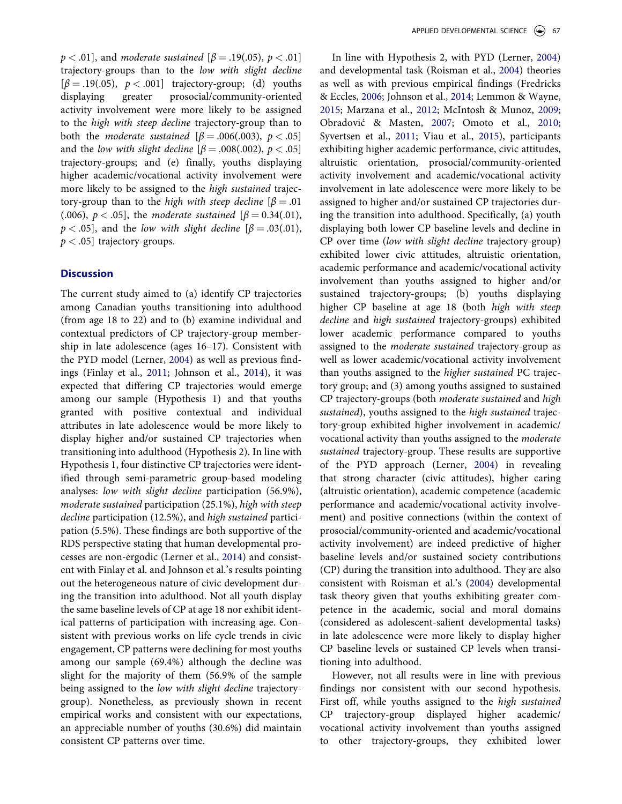*p*  $\lt$  .01], and *moderate sustained* [ $\beta$  = .19(.05), *p*  $\lt$  .01] trajectory-groups than to the *low with slight decline*   $[\beta = .19(.05), \ p < .001]$  trajectory-group; (d) youths displaying greater prosocial/community-oriented activity involvement were more likely to be assigned to the *high with steep decline* trajectory-group than to both the *moderate sustained*  $\beta = .006(.003), p < .05$ and the *low with slight decline*  $[\beta = .008(.002), p < .05]$ trajectory-groups; and (e) finally, youths displaying higher academic/vocational activity involvement were more likely to be assigned to the *high sustained* trajectory-group than to the *high with steep decline*  $[\beta = .01]$ (.006),  $p < .05$ ], the *moderate sustained*  $[\beta = 0.34(.01)]$ ,  $p < .05$ ], and the *low with slight decline*  $[\beta = .03(.01),$ *p <* .05] trajectory-groups.

# **Discussion**

The current study aimed to (a) identify CP trajectories among Canadian youths transitioning into adulthood (from age 18 to 22) and to (b) examine individual and contextual predictors of CP trajectory-group membership in late adolescence (ages 16–17). Consistent with the PYD model (Lerner, [2004\)](#page-14-0) as well as previous findings (Finlay et al., [2011;](#page-13-0) Johnson et al., [2014](#page-13-0)), it was expected that differing CP trajectories would emerge among our sample (Hypothesis 1) and that youths granted with positive contextual and individual attributes in late adolescence would be more likely to display higher and/or sustained CP trajectories when transitioning into adulthood (Hypothesis 2). In line with Hypothesis 1, four distinctive CP trajectories were identified through semi-parametric group-based modeling analyses: *low with slight decline* participation (56.9%), *moderate sustained* participation (25.1%), *high with steep decline* participation (12.5%), and *high sustained* participation (5.5%). These findings are both supportive of the RDS perspective stating that human developmental processes are non-ergodic (Lerner et al., [2014\)](#page-14-0) and consistent with Finlay et al. and Johnson et al.'s results pointing out the heterogeneous nature of civic development during the transition into adulthood. Not all youth display the same baseline levels of CP at age 18 nor exhibit identical patterns of participation with increasing age. Consistent with previous works on life cycle trends in civic engagement, CP patterns were declining for most youths among our sample (69.4%) although the decline was slight for the majority of them (56.9% of the sample being assigned to the *low with slight decline* trajectorygroup). Nonetheless, as previously shown in recent empirical works and consistent with our expectations, an appreciable number of youths (30.6%) did maintain consistent CP patterns over time.

In line with Hypothesis 2, with PYD (Lerner, [2004\)](#page-14-0) and developmental task (Roisman et al., [2004\)](#page-14-0) theories as well as with previous empirical findings (Fredricks & Eccles, [2006;](#page-13-0) Johnson et al., [2014;](#page-13-0) Lemmon & Wayne, [2015](#page-14-0); Marzana et al., [2012](#page-14-0); McIntosh & Munoz, [2009;](#page-14-0) Obradović & Masten, [2007;](#page-14-0) Omoto et al., [2010;](#page-14-0) Syvertsen et al., [2011](#page-14-0); Viau et al., [2015](#page-15-0)), participants exhibiting higher academic performance, civic attitudes, altruistic orientation, prosocial/community-oriented activity involvement and academic/vocational activity involvement in late adolescence were more likely to be assigned to higher and/or sustained CP trajectories during the transition into adulthood. Specifically, (a) youth displaying both lower CP baseline levels and decline in CP over time (*low with slight decline* trajectory-group) exhibited lower civic attitudes, altruistic orientation, academic performance and academic/vocational activity involvement than youths assigned to higher and/or sustained trajectory-groups; (b) youths displaying higher CP baseline at age 18 (both *high with steep decline* and *high sustained* trajectory-groups) exhibited lower academic performance compared to youths assigned to the *moderate sustained* trajectory-group as well as lower academic/vocational activity involvement than youths assigned to the *higher sustained* PC trajectory group; and (3) among youths assigned to sustained CP trajectory-groups (both *moderate sustained* and *high sustained*), youths assigned to the *high sustained* trajectory-group exhibited higher involvement in academic/ vocational activity than youths assigned to the *moderate sustained* trajectory-group. These results are supportive of the PYD approach (Lerner, [2004](#page-14-0)) in revealing that strong character (civic attitudes), higher caring (altruistic orientation), academic competence (academic performance and academic/vocational activity involvement) and positive connections (within the context of prosocial/community-oriented and academic/vocational activity involvement) are indeed predictive of higher baseline levels and/or sustained society contributions (CP) during the transition into adulthood. They are also consistent with Roisman et al.'s [\(2004](#page-14-0)) developmental task theory given that youths exhibiting greater competence in the academic, social and moral domains (considered as adolescent-salient developmental tasks) in late adolescence were more likely to display higher CP baseline levels or sustained CP levels when transitioning into adulthood.

However, not all results were in line with previous findings nor consistent with our second hypothesis. First off, while youths assigned to the *high sustained*  CP trajectory-group displayed higher academic/ vocational activity involvement than youths assigned to other trajectory-groups, they exhibited lower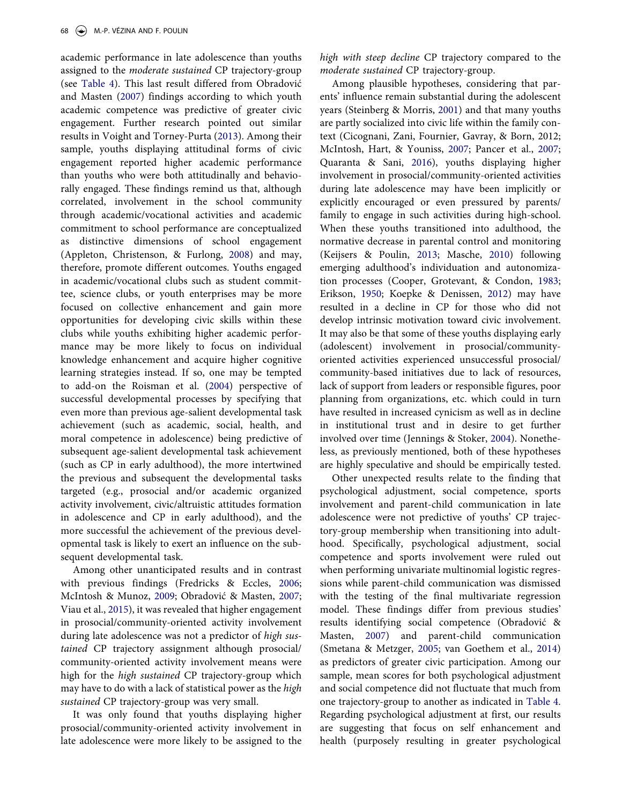academic performance in late adolescence than youths assigned to the *moderate sustained* CP trajectory-group (see [Table 4\)](#page-8-0). This last result differed from Obradović and Masten [\(2007\)](#page-14-0) findings according to which youth academic competence was predictive of greater civic engagement. Further research pointed out similar results in Voight and Torney-Purta [\(2013](#page-15-0)). Among their sample, youths displaying attitudinal forms of civic engagement reported higher academic performance than youths who were both attitudinally and behaviorally engaged. These findings remind us that, although correlated, involvement in the school community through academic/vocational activities and academic commitment to school performance are conceptualized as distinctive dimensions of school engagement (Appleton, Christenson, & Furlong, [2008\)](#page-12-0) and may, therefore, promote different outcomes. Youths engaged in academic/vocational clubs such as student committee, science clubs, or youth enterprises may be more focused on collective enhancement and gain more opportunities for developing civic skills within these clubs while youths exhibiting higher academic performance may be more likely to focus on individual knowledge enhancement and acquire higher cognitive learning strategies instead. If so, one may be tempted to add-on the Roisman et al. ([2004\)](#page-14-0) perspective of successful developmental processes by specifying that even more than previous age-salient developmental task achievement (such as academic, social, health, and moral competence in adolescence) being predictive of subsequent age-salient developmental task achievement (such as CP in early adulthood), the more intertwined the previous and subsequent the developmental tasks targeted (e.g., prosocial and/or academic organized activity involvement, civic/altruistic attitudes formation in adolescence and CP in early adulthood), and the more successful the achievement of the previous developmental task is likely to exert an influence on the subsequent developmental task.

Among other unanticipated results and in contrast with previous findings (Fredricks & Eccles, [2006;](#page-13-0) McIntosh & Munoz, [2009](#page-14-0); Obradović & Masten, [2007;](#page-14-0) Viau et al., [2015\)](#page-15-0), it was revealed that higher engagement in prosocial/community-oriented activity involvement during late adolescence was not a predictor of *high sustained* CP trajectory assignment although prosocial/ community-oriented activity involvement means were high for the *high sustained* CP trajectory-group which may have to do with a lack of statistical power as the *high sustained* CP trajectory-group was very small.

It was only found that youths displaying higher prosocial/community-oriented activity involvement in late adolescence were more likely to be assigned to the *high with steep decline* CP trajectory compared to the *moderate sustained* CP trajectory-group.

Among plausible hypotheses, considering that parents' influence remain substantial during the adolescent years (Steinberg & Morris, [2001\)](#page-14-0) and that many youths are partly socialized into civic life within the family context (Cicognani, Zani, Fournier, Gavray, & Born, 2012; McIntosh, Hart, & Youniss, [2007](#page-14-0); Pancer et al., [2007;](#page-14-0) Quaranta & Sani, [2016](#page-14-0)), youths displaying higher involvement in prosocial/community-oriented activities during late adolescence may have been implicitly or explicitly encouraged or even pressured by parents/ family to engage in such activities during high-school. When these youths transitioned into adulthood, the normative decrease in parental control and monitoring (Keijsers & Poulin, [2013;](#page-13-0) Masche, [2010\)](#page-14-0) following emerging adulthood's individuation and autonomization processes (Cooper, Grotevant, & Condon, [1983;](#page-13-0) Erikson, [1950;](#page-13-0) Koepke & Denissen, [2012](#page-13-0)) may have resulted in a decline in CP for those who did not develop intrinsic motivation toward civic involvement. It may also be that some of these youths displaying early (adolescent) involvement in prosocial/communityoriented activities experienced unsuccessful prosocial/ community-based initiatives due to lack of resources, lack of support from leaders or responsible figures, poor planning from organizations, etc. which could in turn have resulted in increased cynicism as well as in decline in institutional trust and in desire to get further involved over time (Jennings & Stoker, [2004](#page-13-0)). Nonetheless, as previously mentioned, both of these hypotheses are highly speculative and should be empirically tested.

Other unexpected results relate to the finding that psychological adjustment, social competence, sports involvement and parent-child communication in late adolescence were not predictive of youths' CP trajectory-group membership when transitioning into adulthood. Specifically, psychological adjustment, social competence and sports involvement were ruled out when performing univariate multinomial logistic regressions while parent-child communication was dismissed with the testing of the final multivariate regression model. These findings differ from previous studies' results identifying social competence (Obradović & Masten, [2007\)](#page-14-0) and parent-child communication (Smetana & Metzger, [2005;](#page-14-0) van Goethem et al., [2014\)](#page-15-0) as predictors of greater civic participation. Among our sample, mean scores for both psychological adjustment and social competence did not fluctuate that much from one trajectory-group to another as indicated in [Table 4.](#page-8-0) Regarding psychological adjustment at first, our results are suggesting that focus on self enhancement and health (purposely resulting in greater psychological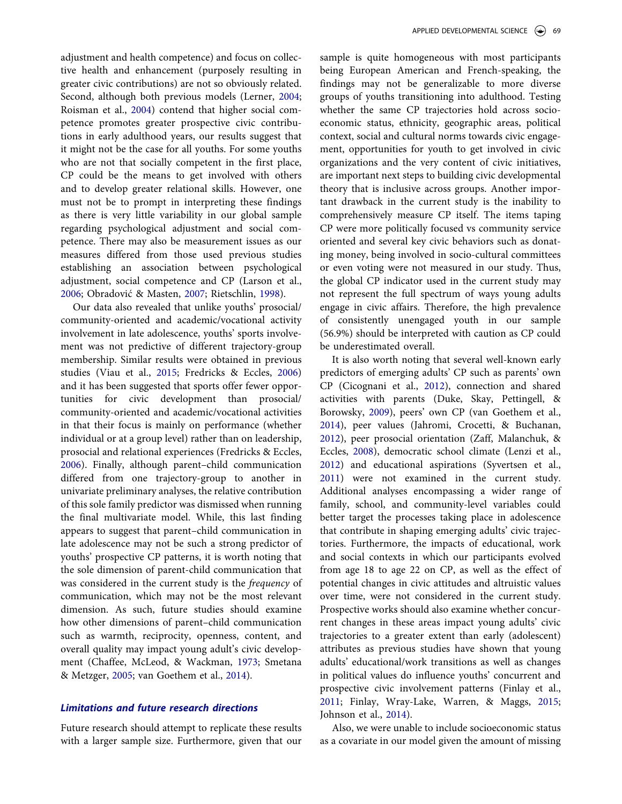adjustment and health competence) and focus on collective health and enhancement (purposely resulting in greater civic contributions) are not so obviously related. Second, although both previous models (Lerner, [2004;](#page-14-0) Roisman et al., [2004](#page-14-0)) contend that higher social competence promotes greater prospective civic contributions in early adulthood years, our results suggest that it might not be the case for all youths. For some youths who are not that socially competent in the first place, CP could be the means to get involved with others and to develop greater relational skills. However, one must not be to prompt in interpreting these findings as there is very little variability in our global sample regarding psychological adjustment and social competence. There may also be measurement issues as our measures differed from those used previous studies establishing an association between psychological adjustment, social competence and CP (Larson et al., [2006;](#page-14-0) Obradović & Masten, [2007;](#page-14-0) Rietschlin, [1998\)](#page-14-0).

Our data also revealed that unlike youths' prosocial/ community-oriented and academic/vocational activity involvement in late adolescence, youths' sports involvement was not predictive of different trajectory-group membership. Similar results were obtained in previous studies (Viau et al., [2015](#page-15-0); Fredricks & Eccles, [2006](#page-13-0)) and it has been suggested that sports offer fewer opportunities for civic development than prosocial/ community-oriented and academic/vocational activities in that their focus is mainly on performance (whether individual or at a group level) rather than on leadership, prosocial and relational experiences (Fredricks & Eccles, [2006\)](#page-13-0). Finally, although parent–child communication differed from one trajectory-group to another in univariate preliminary analyses, the relative contribution of this sole family predictor was dismissed when running the final multivariate model. While, this last finding appears to suggest that parent–child communication in late adolescence may not be such a strong predictor of youths' prospective CP patterns, it is worth noting that the sole dimension of parent-child communication that was considered in the current study is the *frequency* of communication, which may not be the most relevant dimension. As such, future studies should examine how other dimensions of parent–child communication such as warmth, reciprocity, openness, content, and overall quality may impact young adult's civic development (Chaffee, McLeod, & Wackman, [1973;](#page-13-0) Smetana & Metzger, [2005;](#page-14-0) van Goethem et al., [2014\)](#page-15-0).

# *Limitations and future research directions*

Future research should attempt to replicate these results with a larger sample size. Furthermore, given that our

sample is quite homogeneous with most participants being European American and French-speaking, the findings may not be generalizable to more diverse groups of youths transitioning into adulthood. Testing whether the same CP trajectories hold across socioeconomic status, ethnicity, geographic areas, political context, social and cultural norms towards civic engagement, opportunities for youth to get involved in civic organizations and the very content of civic initiatives, are important next steps to building civic developmental theory that is inclusive across groups. Another important drawback in the current study is the inability to comprehensively measure CP itself. The items taping CP were more politically focused vs community service oriented and several key civic behaviors such as donating money, being involved in socio-cultural committees or even voting were not measured in our study. Thus, the global CP indicator used in the current study may not represent the full spectrum of ways young adults engage in civic affairs. Therefore, the high prevalence of consistently unengaged youth in our sample (56.9%) should be interpreted with caution as CP could be underestimated overall.

It is also worth noting that several well-known early predictors of emerging adults' CP such as parents' own CP (Cicognani et al., [2012\)](#page-13-0), connection and shared activities with parents (Duke, Skay, Pettingell, & Borowsky, [2009](#page-13-0)), peers' own CP (van Goethem et al., [2014](#page-15-0)), peer values (Jahromi, Crocetti, & Buchanan, [2012](#page-13-0)), peer prosocial orientation (Zaff, Malanchuk, & Eccles, [2008\)](#page-15-0), democratic school climate (Lenzi et al., [2012](#page-14-0)) and educational aspirations (Syvertsen et al., [2011](#page-14-0)) were not examined in the current study. Additional analyses encompassing a wider range of family, school, and community-level variables could better target the processes taking place in adolescence that contribute in shaping emerging adults' civic trajectories. Furthermore, the impacts of educational, work and social contexts in which our participants evolved from age 18 to age 22 on CP, as well as the effect of potential changes in civic attitudes and altruistic values over time, were not considered in the current study. Prospective works should also examine whether concurrent changes in these areas impact young adults' civic trajectories to a greater extent than early (adolescent) attributes as previous studies have shown that young adults' educational/work transitions as well as changes in political values do influence youths' concurrent and prospective civic involvement patterns (Finlay et al., [2011](#page-13-0); Finlay, Wray-Lake, Warren, & Maggs, [2015;](#page-13-0) Johnson et al., [2014](#page-13-0)).

Also, we were unable to include socioeconomic status as a covariate in our model given the amount of missing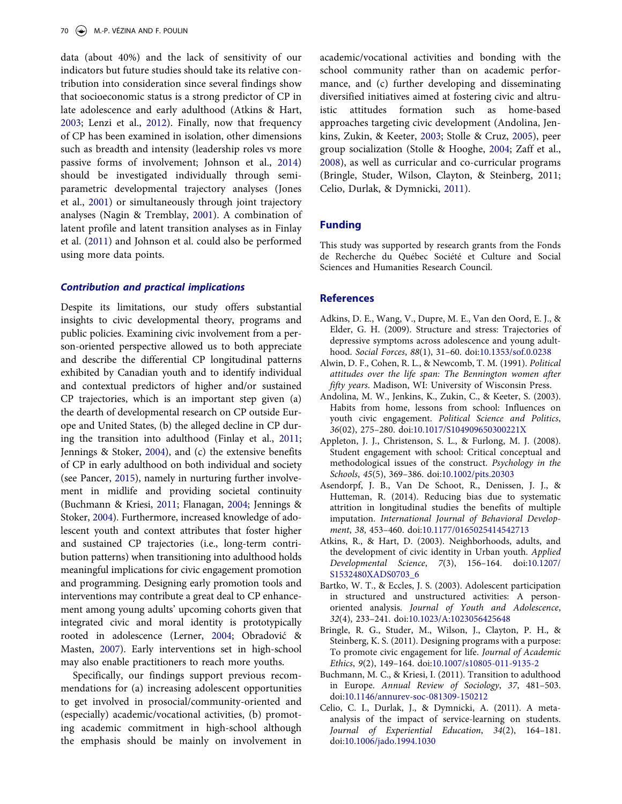<span id="page-12-0"></span>data (about 40%) and the lack of sensitivity of our indicators but future studies should take its relative contribution into consideration since several findings show that socioeconomic status is a strong predictor of CP in late adolescence and early adulthood (Atkins & Hart, 2003; Lenzi et al., [2012](#page-14-0)). Finally, now that frequency of CP has been examined in isolation, other dimensions such as breadth and intensity (leadership roles vs more passive forms of involvement; Johnson et al., [2014](#page-13-0)) should be investigated individually through semiparametric developmental trajectory analyses (Jones et al., [2001](#page-13-0)) or simultaneously through joint trajectory analyses (Nagin & Tremblay, [2001\)](#page-14-0). A combination of latent profile and latent transition analyses as in Finlay et al. ([2011\)](#page-13-0) and Johnson et al. could also be performed using more data points.

#### *Contribution and practical implications*

Despite its limitations, our study offers substantial insights to civic developmental theory, programs and public policies. Examining civic involvement from a person-oriented perspective allowed us to both appreciate and describe the differential CP longitudinal patterns exhibited by Canadian youth and to identify individual and contextual predictors of higher and/or sustained CP trajectories, which is an important step given (a) the dearth of developmental research on CP outside Europe and United States, (b) the alleged decline in CP during the transition into adulthood (Finlay et al., [2011;](#page-13-0) Jennings & Stoker, [2004\)](#page-13-0), and (c) the extensive benefits of CP in early adulthood on both individual and society (see Pancer, [2015\)](#page-13-0), namely in nurturing further involvement in midlife and providing societal continuity (Buchmann & Kriesi, 2011; Flanagan, [2004;](#page-13-0) Jennings & Stoker, [2004](#page-13-0)). Furthermore, increased knowledge of adolescent youth and context attributes that foster higher and sustained CP trajectories (i.e., long-term contribution patterns) when transitioning into adulthood holds meaningful implications for civic engagement promotion and programming. Designing early promotion tools and interventions may contribute a great deal to CP enhancement among young adults' upcoming cohorts given that integrated civic and moral identity is prototypically rooted in adolescence (Lerner, [2004](#page-14-0); Obradović & Masten, [2007](#page-14-0)). Early interventions set in high-school may also enable practitioners to reach more youths.

Specifically, our findings support previous recommendations for (a) increasing adolescent opportunities to get involved in prosocial/community-oriented and (especially) academic/vocational activities, (b) promoting academic commitment in high-school although the emphasis should be mainly on involvement in academic/vocational activities and bonding with the school community rather than on academic performance, and (c) further developing and disseminating diversified initiatives aimed at fostering civic and altruistic attitudes formation such as home-based approaches targeting civic development (Andolina, Jenkins, Zukin, & Keeter, 2003; Stolle & Cruz, [2005](#page-14-0)), peer group socialization (Stolle & Hooghe, [2004;](#page-14-0) Zaff et al., [2008](#page-15-0)), as well as curricular and co-curricular programs (Bringle, Studer, Wilson, Clayton, & Steinberg, 2011; Celio, Durlak, & Dymnicki, 2011).

#### **Funding**

This study was supported by research grants from the Fonds de Recherche du Québec Société et Culture and Social Sciences and Humanities Research Council.

#### **References**

- Adkins, D. E., Wang, V., Dupre, M. E., Van den Oord, E. J., & Elder, G. H. (2009). Structure and stress: Trajectories of depressive symptoms across adolescence and young adulthood. *Social Forces*, *88*(1), 31–60. doi[:10.1353/sof.0.0238](http://dx.doi.org/10.1353/sof.0.0238)
- Alwin, D. F., Cohen, R. L., & Newcomb, T. M. (1991). *Political attitudes over the life span: The Bennington women after fifty years*. Madison, WI: University of Wisconsin Press.
- Andolina, M. W., Jenkins, K., Zukin, C., & Keeter, S. (2003). Habits from home, lessons from school: Influences on youth civic engagement. *Political Science and Politics*, *36*(02), 275–280. doi:[10.1017/S104909650300221X](http://dx.doi.org/10.1017/S104909650300221X)
- Appleton, J. J., Christenson, S. L., & Furlong, M. J. (2008). Student engagement with school: Critical conceptual and methodological issues of the construct. *Psychology in the Schools*, *45*(5), 369–386. doi[:10.1002/pits.20303](http://dx.doi.org/10.1002/pits.20303)
- Asendorpf, J. B., Van De Schoot, R., Denissen, J. J., & Hutteman, R. (2014). Reducing bias due to systematic attrition in longitudinal studies the benefits of multiple imputation. *International Journal of Behavioral Development*, *38*, 453–460. doi:[10.1177/0165025414542713](http://dx.doi.org/10.1177/0165025414542713)
- Atkins, R., & Hart, D. (2003). Neighborhoods, adults, and the development of civic identity in Urban youth. *Applied Developmental Science*, *7*(3), 156–164. doi:[10.1207/](http://dx.doi.org/10.1207/S1532480XADS0703_6) [S1532480XADS0703\\_6](http://dx.doi.org/10.1207/S1532480XADS0703_6)
- Bartko, W. T., & Eccles, J. S. (2003). Adolescent participation in structured and unstructured activities: A personoriented analysis. *Journal of Youth and Adolescence*, *32*(4), 233–241. doi[:10.1023/A:1023056425648](http://dx.doi.org/10.1023/A:1023056425648)
- Bringle, R. G., Studer, M., Wilson, J., Clayton, P. H., & Steinberg, K. S. (2011). Designing programs with a purpose: To promote civic engagement for life. *Journal of Academic Ethics*, *9*(2), 149–164. doi:[10.1007/s10805-011-9135-2](http://dx.doi.org/10.1007/s10805-011-9135-2)
- Buchmann, M. C., & Kriesi, I. (2011). Transition to adulthood in Europe. *Annual Review of Sociology*, *37*, 481–503. doi[:10.1146/annurev-soc-081309-150212](http://dx.doi.org/10.1146/annurev-soc-081309-150212)
- Celio, C. I., Durlak, J., & Dymnicki, A. (2011). A metaanalysis of the impact of service-learning on students. *Journal of Experiential Education*, *34*(2), 164–181. doi[:10.1006/jado.1994.1030](http://dx.doi.org/10.1006/jado.1994.1030)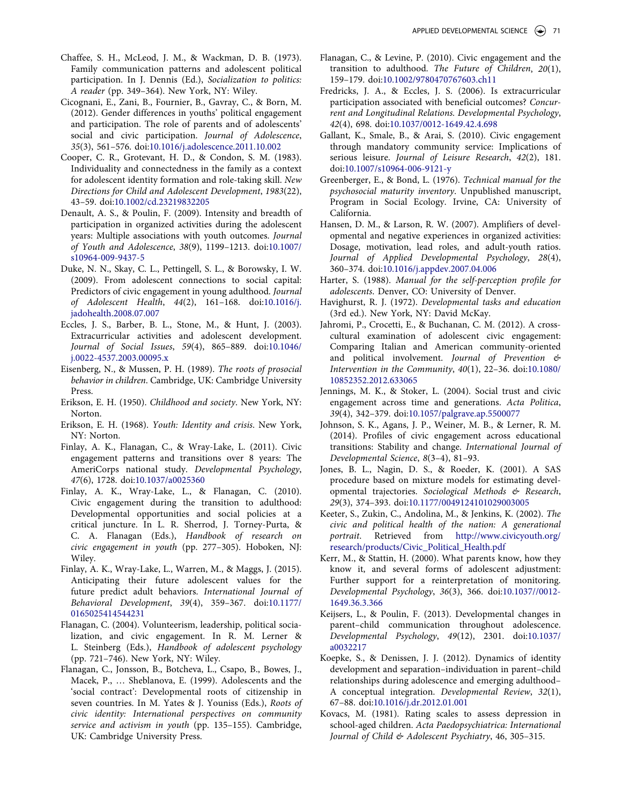- <span id="page-13-0"></span>Chaffee, S. H., McLeod, J. M., & Wackman, D. B. (1973). Family communication patterns and adolescent political participation. In J. Dennis (Ed.), *Socialization to politics: A reader* (pp. 349–364). New York, NY: Wiley.
- Cicognani, E., Zani, B., Fournier, B., Gavray, C., & Born, M. (2012). Gender differences in youths' political engagement and participation. The role of parents and of adolescents' social and civic participation. *Journal of Adolescence*, *35*(3), 561–576. doi[:10.1016/j.adolescence.2011.10.002](http://dx.doi.org/10.1016/j.adolescence.2011.10.002)
- Cooper, C. R., Grotevant, H. D., & Condon, S. M. (1983). Individuality and connectedness in the family as a context for adolescent identity formation and role‐taking skill. *New Directions for Child and Adolescent Development*, *1983*(22), 43–59. doi:[10.1002/cd.23219832205](http://dx.doi.org/10.1002/cd.23219832205)
- Denault, A. S., & Poulin, F. (2009). Intensity and breadth of participation in organized activities during the adolescent years: Multiple associations with youth outcomes. *Journal of Youth and Adolescence*, *38*(9), 1199–1213. doi[:10.1007/](http://dx.doi.org/10.1007/s10964-009-9437-5) [s10964-009-9437-5](http://dx.doi.org/10.1007/s10964-009-9437-5)
- Duke, N. N., Skay, C. L., Pettingell, S. L., & Borowsky, I. W. (2009). From adolescent connections to social capital: Predictors of civic engagement in young adulthood. *Journal of Adolescent Health*, *44*(2), 161–168. doi:[10.1016/j.](http://dx.doi.org/10.1016/j.jadohealth.2008.07.007) [jadohealth.2008.07.007](http://dx.doi.org/10.1016/j.jadohealth.2008.07.007)
- Eccles, J. S., Barber, B. L., Stone, M., & Hunt, J. (2003). Extracurricular activities and adolescent development. *Journal of Social Issues*, *59*(4), 865–889. doi[:10.1046/](http://dx.doi.org/10.1046/j.0022-4537.2003.00095.x) [j.0022-4537.2003.00095.x](http://dx.doi.org/10.1046/j.0022-4537.2003.00095.x)
- Eisenberg, N., & Mussen, P. H. (1989). *The roots of prosocial behavior in children*. Cambridge, UK: Cambridge University Press.
- Erikson, E. H. (1950). *Childhood and society*. New York, NY: Norton.
- Erikson, E. H. (1968). *Youth: Identity and crisis*. New York, NY: Norton.
- Finlay, A. K., Flanagan, C., & Wray-Lake, L. (2011). Civic engagement patterns and transitions over 8 years: The AmeriCorps national study. *Developmental Psychology*, *47*(6), 1728. doi[:10.1037/a0025360](http://dx.doi.org/10.1037/a0025360)
- Finlay, A. K., Wray-Lake, L., & Flanagan, C. (2010). Civic engagement during the transition to adulthood: Developmental opportunities and social policies at a critical juncture. In L. R. Sherrod, J. Torney-Purta, & C. A. Flanagan (Eds.), *Handbook of research on civic engagement in youth* (pp. 277–305). Hoboken, NJ: Wiley.
- Finlay, A. K., Wray-Lake, L., Warren, M., & Maggs, J. (2015). Anticipating their future adolescent values for the future predict adult behaviors. *International Journal of Behavioral Development*, *39*(4), 359–367. doi[:10.1177/](http://dx.doi.org/10.1177/0165025414544231) [0165025414544231](http://dx.doi.org/10.1177/0165025414544231)
- Flanagan, C. (2004). Volunteerism, leadership, political socialization, and civic engagement. In R. M. Lerner & L. Steinberg (Eds.), *Handbook of adolescent psychology*  (pp. 721–746). New York, NY: Wiley.
- Flanagan, C., Jonsson, B., Botcheva, L., Csapo, B., Bowes, J., Macek, P., … Sheblanova, E. (1999). Adolescents and the 'social contract': Developmental roots of citizenship in seven countries. In M. Yates & J. Youniss (Eds.), *Roots of civic identity: International perspectives on community service and activism in youth* (pp. 135–155). Cambridge, UK: Cambridge University Press.
- Flanagan, C., & Levine, P. (2010). Civic engagement and the transition to adulthood. *The Future of Children*, *20*(1), 159–179. doi:[10.1002/9780470767603.ch11](http://dx.doi.org/10.1002/9780470767603.ch11)
- Fredricks, J. A., & Eccles, J. S. (2006). Is extracurricular participation associated with beneficial outcomes? *Concurrent and Longitudinal Relations. Developmental Psychology*, *42*(4), 698. doi:[10.1037/0012-1649.42.4.698](http://dx.doi.org/10.1037/0012-1649.42.4.698)
- Gallant, K., Smale, B., & Arai, S. (2010). Civic engagement through mandatory community service: Implications of serious leisure. *Journal of Leisure Research*, *42*(2), 181. doi[:10.1007/s10964-006-9121-y](http://dx.doi.org/10.1007/s10964-006-9121-y)
- Greenberger, E., & Bond, L. (1976). *Technical manual for the psychosocial maturity inventory*. Unpublished manuscript, Program in Social Ecology. Irvine, CA: University of California.
- Hansen, D. M., & Larson, R. W. (2007). Amplifiers of developmental and negative experiences in organized activities: Dosage, motivation, lead roles, and adult-youth ratios. *Journal of Applied Developmental Psychology*, *28*(4), 360–374. doi:[10.1016/j.appdev.2007.04.006](http://dx.doi.org/10.1016/j.appdev.2007.04.006)
- Harter, S. (1988). *Manual for the self-perception profile for adolescents*. Denver, CO: University of Denver.
- Havighurst, R. J. (1972). *Developmental tasks and education*  (3rd ed.). New York, NY: David McKay.
- Jahromi, P., Crocetti, E., & Buchanan, C. M. (2012). A crosscultural examination of adolescent civic engagement: Comparing Italian and American community-oriented and political involvement. *Journal of Prevention & Intervention in the Community*, *40*(1), 22–36. doi:[10.1080/](http://dx.doi.org/10.1080/10852352.2012.633065) [10852352.2012.633065](http://dx.doi.org/10.1080/10852352.2012.633065)
- Jennings, M. K., & Stoker, L. (2004). Social trust and civic engagement across time and generations. *Acta Politica*, *39*(4), 342–379. doi[:10.1057/palgrave.ap.5500077](http://dx.doi.org/10.1057/palgrave.ap.5500077)
- Johnson, S. K., Agans, J. P., Weiner, M. B., & Lerner, R. M. (2014). Profiles of civic engagement across educational transitions: Stability and change. *International Journal of Developmental Science*, *8*(3–4), 81–93.
- Jones, B. L., Nagin, D. S., & Roeder, K. (2001). A SAS procedure based on mixture models for estimating developmental trajectories. *Sociological Methods & Research*, *29*(3), 374–393. doi[:10.1177/0049124101029003005](http://dx.doi.org/10.1177/0049124101029003005)
- Keeter, S., Zukin, C., Andolina, M., & Jenkins, K. (2002). *The civic and political health of the nation: A generational portrait*. Retrieved from [http://www.civicyouth.org/](http://www.civicyouth.org/research/products/Civic_Political_Health.pdf) [research/products/Civic\\_Political\\_Health.pdf](http://www.civicyouth.org/research/products/Civic_Political_Health.pdf)
- Kerr, M., & Stattin, H. (2000). What parents know, how they know it, and several forms of adolescent adjustment: Further support for a reinterpretation of monitoring. *Developmental Psychology*, *36*(3), 366. doi:[10.1037//0012-](http://dx.doi.org/10.1037//0012-1649.36.3.366) [1649.36.3.366](http://dx.doi.org/10.1037//0012-1649.36.3.366)
- Keijsers, L., & Poulin, F. (2013). Developmental changes in parent–child communication throughout adolescence. *Developmental Psychology*, *49*(12), 2301. doi:[10.1037/](http://dx.doi.org/10.1037/a0032217) [a0032217](http://dx.doi.org/10.1037/a0032217)
- Koepke, S., & Denissen, J. J. (2012). Dynamics of identity development and separation–individuation in parent–child relationships during adolescence and emerging adulthood– A conceptual integration. *Developmental Review*, *32*(1), 67–88. doi:[10.1016/j.dr.2012.01.001](http://dx.doi.org/10.1016/j.dr.2012.01.001)
- Kovacs, M. (1981). Rating scales to assess depression in school-aged children. *Acta Paedopsychiatrica: International Journal of Child & Adolescent Psychiatry*, 46, 305–315.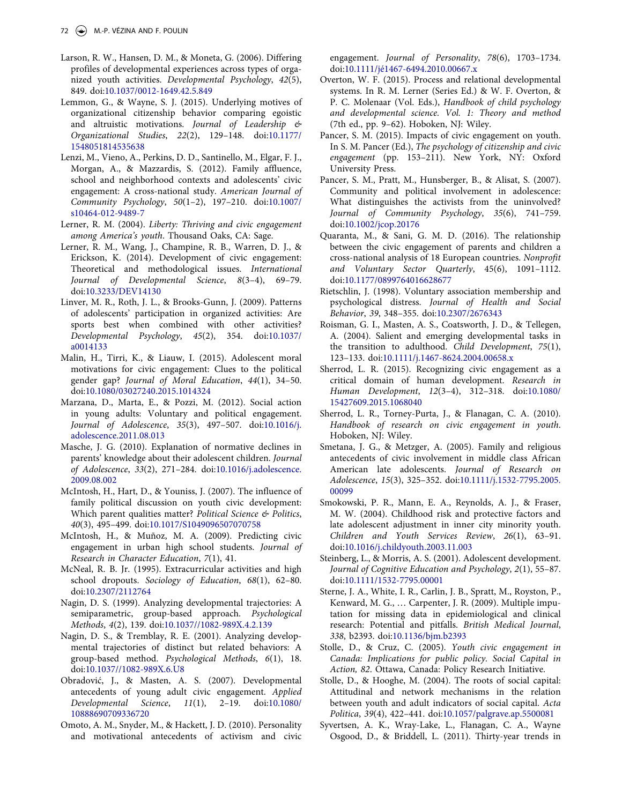- <span id="page-14-0"></span>Larson, R. W., Hansen, D. M., & Moneta, G. (2006). Differing profiles of developmental experiences across types of organized youth activities. *Developmental Psychology*, *42*(5), 849. doi[:10.1037/0012-1649.42.5.849](http://dx.doi.org/10.1037/0012-1649.42.5.849)
- Lemmon, G., & Wayne, S. J. (2015). Underlying motives of organizational citizenship behavior comparing egoistic and altruistic motivations. *Journal of Leadership & Organizational Studies*, *22*(2), 129–148. doi[:10.1177/](http://dx.doi.org/10.1177/1548051814535638) [1548051814535638](http://dx.doi.org/10.1177/1548051814535638)
- Lenzi, M., Vieno, A., Perkins, D. D., Santinello, M., Elgar, F. J., Morgan, A., & Mazzardis, S. (2012). Family affluence, school and neighborhood contexts and adolescents' civic engagement: A cross-national study. *American Journal of Community Psychology*, *50*(1–2), 197–210. doi[:10.1007/](http://dx.doi.org/10.1007/s10464-012-9489-7) [s10464-012-9489-7](http://dx.doi.org/10.1007/s10464-012-9489-7)
- Lerner, R. M. (2004). *Liberty: Thriving and civic engagement among America's youth*. Thousand Oaks, CA: Sage.
- Lerner, R. M., Wang, J., Champine, R. B., Warren, D. J., & Erickson, K. (2014). Development of civic engagement: Theoretical and methodological issues. *International Journal of Developmental Science*, *8*(3–4), 69–79. doi[:10.3233/DEV14130](http://dx.doi.org/10.3233/DEV14130)
- Linver, M. R., Roth, J. L., & Brooks-Gunn, J. (2009). Patterns of adolescents' participation in organized activities: Are sports best when combined with other activities? *Developmental Psychology*, *45*(2), 354. doi[:10.1037/](http://dx.doi.org/10.1037/a0014133) [a0014133](http://dx.doi.org/10.1037/a0014133)
- Malin, H., Tirri, K., & Liauw, I. (2015). Adolescent moral motivations for civic engagement: Clues to the political gender gap? *Journal of Moral Education*, *44*(1), 34–50. doi[:10.1080/03027240.2015.1014324](http://dx.doi.org/10.1080/03027240.2015.1014324)
- Marzana, D., Marta, E., & Pozzi, M. (2012). Social action in young adults: Voluntary and political engagement. *Journal of Adolescence*, *35*(3), 497–507. doi:[10.1016/j.](http://dx.doi.org/10.1016/j.adolescence.2011.08.013) [adolescence.2011.08.013](http://dx.doi.org/10.1016/j.adolescence.2011.08.013)
- Masche, J. G. (2010). Explanation of normative declines in parents' knowledge about their adolescent children. *Journal of Adolescence*, *33*(2), 271–284. doi:[10.1016/j.adolescence.](http://dx.doi.org/10.1016/j.adolescence.2009.08.002) [2009.08.002](http://dx.doi.org/10.1016/j.adolescence.2009.08.002)
- McIntosh, H., Hart, D., & Youniss, J. (2007). The influence of family political discussion on youth civic development: Which parent qualities matter? *Political Science & Politics*, *40*(3), 495–499. doi[:10.1017/S1049096507070758](http://dx.doi.org/10.1017/S1049096507070758)
- McIntosh, H., & Muñoz, M. A. (2009). Predicting civic engagement in urban high school students. *Journal of Research in Character Education*, *7*(1), 41.
- McNeal, R. B. Jr. (1995). Extracurricular activities and high school dropouts. *Sociology of Education*, *68*(1), 62–80. doi[:10.2307/2112764](http://dx.doi.org/10.2307/2112764)
- Nagin, D. S. (1999). Analyzing developmental trajectories: A semiparametric, group-based approach. *Psychological Methods*, *4*(2), 139. doi:[10.1037//1082-989X.4.2.139](http://dx.doi.org/10.1037//1082-989X.4.2.139)
- Nagin, D. S., & Tremblay, R. E. (2001). Analyzing developmental trajectories of distinct but related behaviors: A group-based method. *Psychological Methods*, *6*(1), 18. doi[:10.1037//1082-989X.6.U8](http://dx.doi.org/10.1037//1082-989X.6.U8)
- Obradović, J., & Masten, A. S. (2007). Developmental antecedents of young adult civic engagement. *Applied Developmental Science*, *11*(1), 2–19. doi[:10.1080/](http://dx.doi.org/10.1080/10888690709336720) [10888690709336720](http://dx.doi.org/10.1080/10888690709336720)
- Omoto, A. M., Snyder, M., & Hackett, J. D. (2010). Personality and motivational antecedents of activism and civic

engagement. *Journal of Personality*, *78*(6), 1703–1734. doi[:10.1111/jé1467-6494.2010.00667.x](http://dx.doi.org/10.1111/j�1467-6494.2010.00667.x) 

- Overton, W. F. (2015). Process and relational developmental systems. In R. M. Lerner (Series Ed.) & W. F. Overton, & P. C. Molenaar (Vol. Eds.), *Handbook of child psychology and developmental science. Vol. 1: Theory and method*  (7th ed., pp. 9–62). Hoboken, NJ: Wiley.
- Pancer, S. M. (2015). Impacts of civic engagement on youth. In S. M. Pancer (Ed.), *The psychology of citizenship and civic engagement* (pp. 153–211). New York, NY: Oxford University Press.
- Pancer, S. M., Pratt, M., Hunsberger, B., & Alisat, S. (2007). Community and political involvement in adolescence: What distinguishes the activists from the uninvolved? *Journal of Community Psychology*, *35*(6), 741–759. doi[:10.1002/jcop.20176](http://dx.doi.org/10.1002/jcop.20176)
- Quaranta, M., & Sani, G. M. D. (2016). The relationship between the civic engagement of parents and children a cross-national analysis of 18 European countries. *Nonprofit and Voluntary Sector Quarterly*, 45(6), 1091–1112. doi[:10.1177/0899764016628677](http://dx.doi.org/10.1177/0899764016628677)
- Rietschlin, J. (1998). Voluntary association membership and psychological distress. *Journal of Health and Social Behavior*, *39*, 348–355. doi[:10.2307/2676343](http://dx.doi.org/10.2307/2676343)
- Roisman, G. I., Masten, A. S., Coatsworth, J. D., & Tellegen, A. (2004). Salient and emerging developmental tasks in the transition to adulthood. *Child Development*, *75*(1), 123–133. doi:[10.1111/j.1467-8624.2004.00658.x](http://dx.doi.org/10.1111/j.1467-8624.2004.00658.x)
- Sherrod, L. R. (2015). Recognizing civic engagement as a critical domain of human development. *Research in Human Development*, *12*(3–4), 312–318. doi:[10.1080/](http://dx.doi.org/10.1080/15427609.2015.1068040) [15427609.2015.1068040](http://dx.doi.org/10.1080/15427609.2015.1068040)
- Sherrod, L. R., Torney-Purta, J., & Flanagan, C. A. (2010). *Handbook of research on civic engagement in youth*. Hoboken, NJ: Wiley.
- Smetana, J. G., & Metzger, A. (2005). Family and religious antecedents of civic involvement in middle class African American late adolescents. *Journal of Research on Adolescence*, *15*(3), 325–352. doi:[10.1111/j.1532-7795.2005.](http://dx.doi.org/10.1111/j.1532-7795.2005.00099) [00099](http://dx.doi.org/10.1111/j.1532-7795.2005.00099)
- Smokowski, P. R., Mann, E. A., Reynolds, A. J., & Fraser, M. W. (2004). Childhood risk and protective factors and late adolescent adjustment in inner city minority youth. *Children and Youth Services Review*, *26*(1), 63–91. doi[:10.1016/j.childyouth.2003.11.003](http://dx.doi.org/10.1016/j.childyouth.2003.11.003)
- Steinberg, L., & Morris, A. S. (2001). Adolescent development. *Journal of Cognitive Education and Psychology*, *2*(1), 55–87. doi[:10.1111/1532-7795.00001](http://dx.doi.org/10.1111/1532-7795.00001)
- Sterne, J. A., White, I. R., Carlin, J. B., Spratt, M., Royston, P., Kenward, M. G., … Carpenter, J. R. (2009). Multiple imputation for missing data in epidemiological and clinical research: Potential and pitfalls. *British Medical Journal*, *338*, b2393. doi:[10.1136/bjm.b2393](http://dx.doi.org/10.1136/bjm.b2393)
- Stolle, D., & Cruz, C. (2005). *Youth civic engagement in Canada: Implications for public policy. Social Capital in Action, 82*. Ottawa, Canada: Policy Research Initiative.
- Stolle, D., & Hooghe, M. (2004). The roots of social capital: Attitudinal and network mechanisms in the relation between youth and adult indicators of social capital. *Acta Politica*, *39*(4), 422–441. doi[:10.1057/palgrave.ap.5500081](http://dx.doi.org/10.1057/palgrave.ap.5500081)
- Syvertsen, A. K., Wray‐Lake, L., Flanagan, C. A., Wayne Osgood, D., & Briddell, L. (2011). Thirty‐year trends in